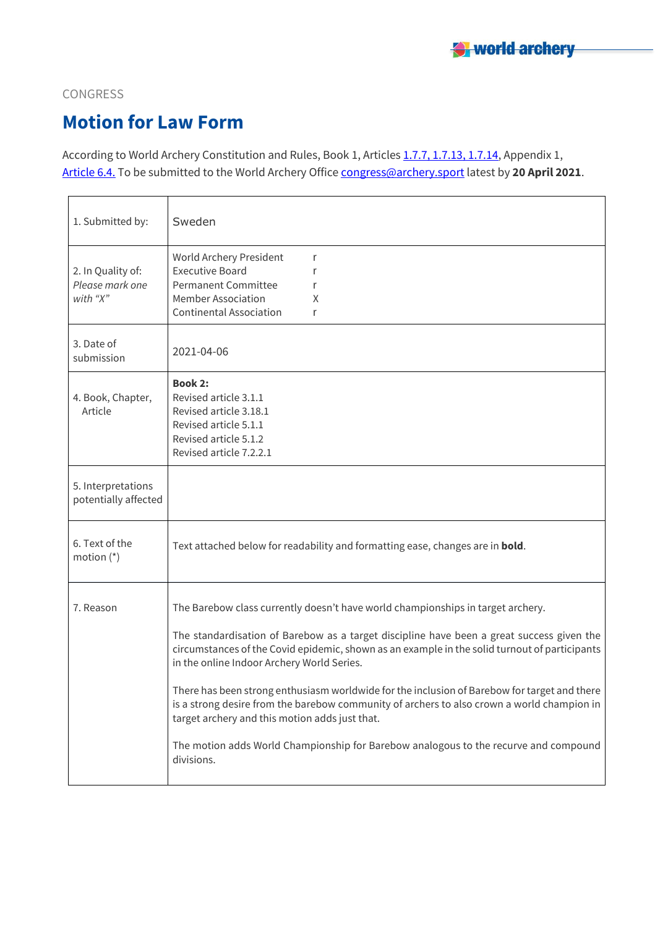

#### CONGRESS

# **Motion for Law Form**

According to World Archery Constitution and Rules, Book 1, Articles 1.7.7, [1.7.13,](about:blank) 1.7.14, Appendix 1, [Article](about:blank) 6.4. To be submitted to the World Archery Office [congress@archery.sport](about:blank) latest by **20 April 2021**.

| 1. Submitted by:                                 | Sweden                                                                                                                                                                                                                                                                                                                                                                                                                                                                                                                                                                                                                                                                            |
|--------------------------------------------------|-----------------------------------------------------------------------------------------------------------------------------------------------------------------------------------------------------------------------------------------------------------------------------------------------------------------------------------------------------------------------------------------------------------------------------------------------------------------------------------------------------------------------------------------------------------------------------------------------------------------------------------------------------------------------------------|
| 2. In Quality of:<br>Please mark one<br>with "X" | World Archery President<br>r<br><b>Executive Board</b><br>r<br><b>Permanent Committee</b><br>r<br><b>Member Association</b><br>X<br><b>Continental Association</b><br>r                                                                                                                                                                                                                                                                                                                                                                                                                                                                                                           |
| 3. Date of<br>submission                         | 2021-04-06                                                                                                                                                                                                                                                                                                                                                                                                                                                                                                                                                                                                                                                                        |
| 4. Book, Chapter,<br>Article                     | <b>Book 2:</b><br>Revised article 3.1.1<br>Revised article 3.18.1<br>Revised article 5.1.1<br>Revised article 5.1.2<br>Revised article 7.2.2.1                                                                                                                                                                                                                                                                                                                                                                                                                                                                                                                                    |
| 5. Interpretations<br>potentially affected       |                                                                                                                                                                                                                                                                                                                                                                                                                                                                                                                                                                                                                                                                                   |
| 6. Text of the<br>motion $(*)$                   | Text attached below for readability and formatting ease, changes are in <b>bold</b> .                                                                                                                                                                                                                                                                                                                                                                                                                                                                                                                                                                                             |
| 7. Reason                                        | The Barebow class currently doesn't have world championships in target archery.<br>The standardisation of Barebow as a target discipline have been a great success given the<br>circumstances of the Covid epidemic, shown as an example in the solid turnout of participants<br>in the online Indoor Archery World Series.<br>There has been strong enthusiasm worldwide for the inclusion of Barebow for target and there<br>is a strong desire from the barebow community of archers to also crown a world champion in<br>target archery and this motion adds just that.<br>The motion adds World Championship for Barebow analogous to the recurve and compound<br>divisions. |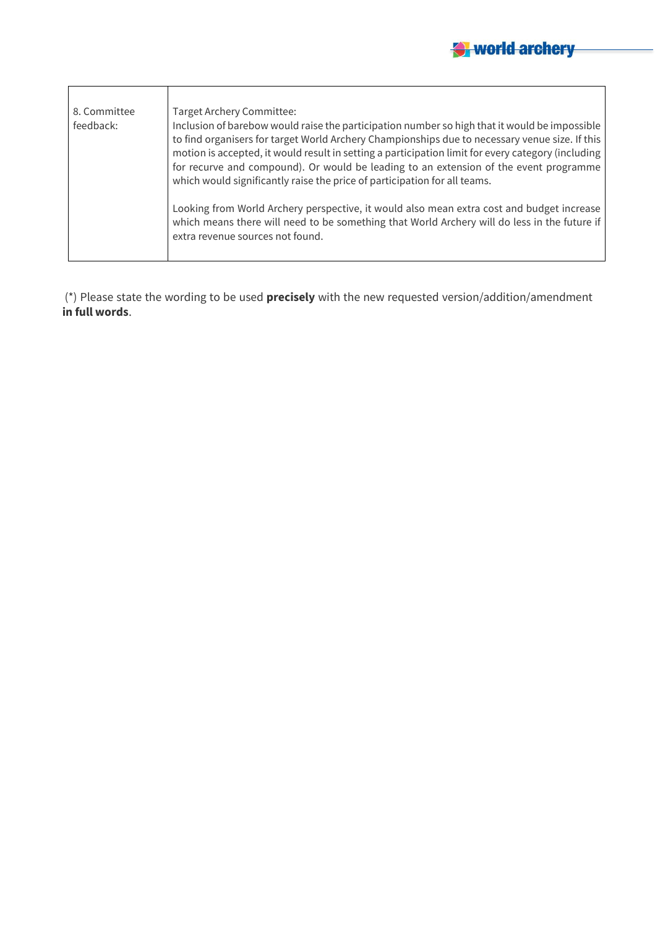| 8. Committee<br>feedback: | <b>Target Archery Committee:</b><br>Inclusion of barebow would raise the participation number so high that it would be impossible<br>to find organisers for target World Archery Championships due to necessary venue size. If this<br>motion is accepted, it would result in setting a participation limit for every category (including<br>for recurve and compound). Or would be leading to an extension of the event programme<br>which would significantly raise the price of participation for all teams. |
|---------------------------|-----------------------------------------------------------------------------------------------------------------------------------------------------------------------------------------------------------------------------------------------------------------------------------------------------------------------------------------------------------------------------------------------------------------------------------------------------------------------------------------------------------------|
|                           | Looking from World Archery perspective, it would also mean extra cost and budget increase<br>which means there will need to be something that World Archery will do less in the future if<br>extra revenue sources not found.                                                                                                                                                                                                                                                                                   |

(\*) Please state the wording to be used **precisely** with the new requested version/addition/amendment **in full words**.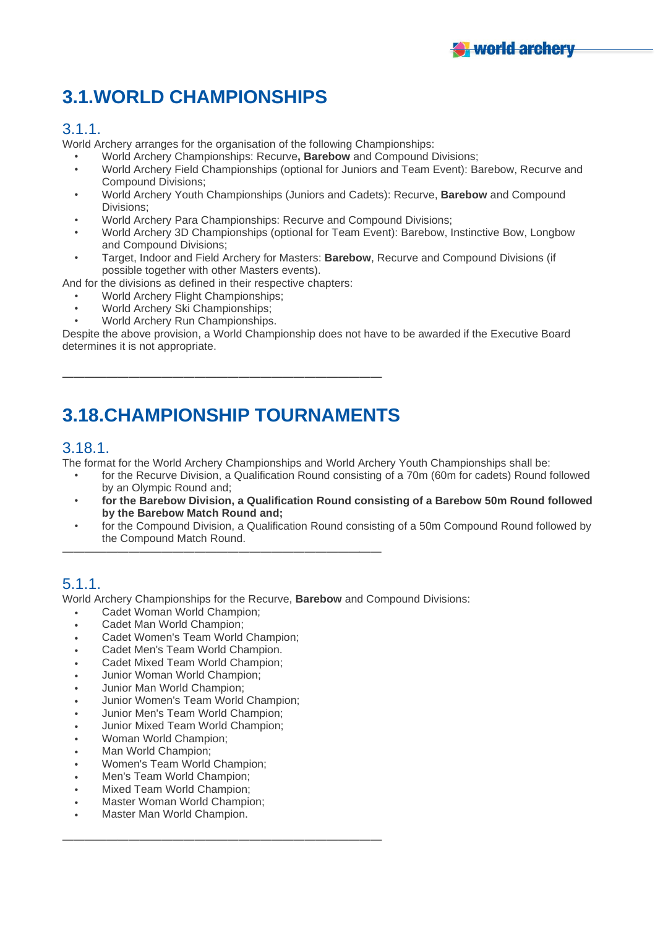## **3.1.WORLD CHAMPIONSHIPS**

#### 3.1.1.

World Archery arranges for the organisation of the following Championships:

- World Archery Championships: Recurve**, Barebow** and Compound Divisions;
- World Archery Field Championships (optional for Juniors and Team Event): Barebow, Recurve and Compound Divisions;
- World Archery Youth Championships (Juniors and Cadets): Recurve, **Barebow** and Compound Divisions;
- World Archery Para Championships: Recurve and Compound Divisions;
- World Archery 3D Championships (optional for Team Event): Barebow, Instinctive Bow, Longbow and Compound Divisions;
- Target, Indoor and Field Archery for Masters: **Barebow**, Recurve and Compound Divisions (if possible together with other Masters events).

And for the divisions as defined in their respective chapters:

- World Archery Flight Championships;
- World Archery Ski Championships;
- World Archery Run Championships.

Despite the above provision, a World Championship does not have to be awarded if the Executive Board determines it is not appropriate.

## **3.18.CHAMPIONSHIP TOURNAMENTS**

—————————————————————————————

—————————————————————————————

—————————————————————————————

#### 3.18.1.

The format for the World Archery Championships and World Archery Youth Championships shall be:

- for the Recurve Division, a Qualification Round consisting of a 70m (60m for cadets) Round followed by an Olympic Round and;
- **for the Barebow Division, a Qualification Round consisting of a Barebow 50m Round followed by the Barebow Match Round and;**
- for the Compound Division, a Qualification Round consisting of a 50m Compound Round followed by the Compound Match Round.

### 5.1.1.

World Archery Championships for the Recurve, **Barebow** and Compound Divisions:

- Cadet Woman World Champion;
- Cadet Man World Champion:
- Cadet Women's Team World Champion;
- Cadet Men's Team World Champion.
- Cadet Mixed Team World Champion;
- Junior Woman World Champion;
- Junior Man World Champion;
- Junior Women's Team World Champion;
- Junior Men's Team World Champion;
- Junior Mixed Team World Champion;
- Woman World Champion;
- Man World Champion;
- Women's Team World Champion;
- Men's Team World Champion;
- Mixed Team World Champion;
- Master Woman World Champion;
- Master Man World Champion.